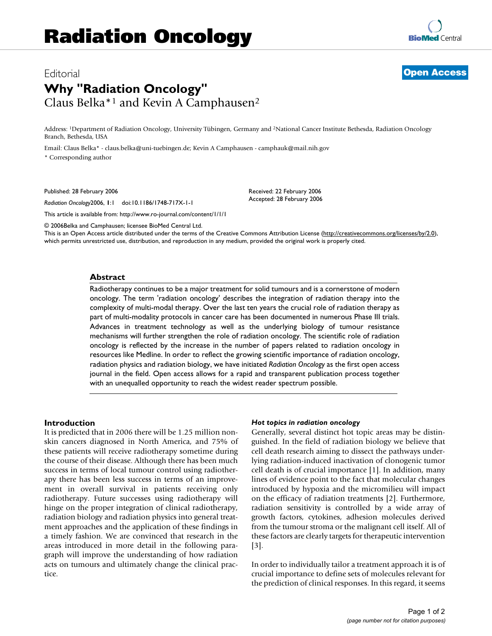# Editorial **[Open Access](http://www.biomedcentral.com/info/about/charter/) Why "Radiation Oncology"** Claus Belka\*1 and Kevin A Camphausen2

Address: 1Department of Radiation Oncology, University Tübingen, Germany and 2National Cancer Institute Bethesda, Radiation Oncology Branch, Bethesda, USA

Email: Claus Belka\* - claus.belka@uni-tuebingen.de; Kevin A Camphausen - camphauk@mail.nih.gov \* Corresponding author

Published: 28 February 2006

*Radiation Oncology*2006, **1**:1 doi:10.1186/1748-717X-1-1

[This article is available from: http://www.ro-journal.com/content/1/1/1](http://www.ro-journal.com/content/1/1/1)

© 2006Belka and Camphausen; licensee BioMed Central Ltd.

This is an Open Access article distributed under the terms of the Creative Commons Attribution License [\(http://creativecommons.org/licenses/by/2.0\)](http://creativecommons.org/licenses/by/2.0), which permits unrestricted use, distribution, and reproduction in any medium, provided the original work is properly cited.

Received: 22 February 2006 Accepted: 28 February 2006

### **Abstract**

Radiotherapy continues to be a major treatment for solid tumours and is a cornerstone of modern oncology. The term 'radiation oncology' describes the integration of radiation therapy into the complexity of multi-modal therapy. Over the last ten years the crucial role of radiation therapy as part of multi-modality protocols in cancer care has been documented in numerous Phase III trials. Advances in treatment technology as well as the underlying biology of tumour resistance mechanisms will further strengthen the role of radiation oncology. The scientific role of radiation oncology is reflected by the increase in the number of papers related to radiation oncology in resources like Medline. In order to reflect the growing scientific importance of radiation oncology, radiation physics and radiation biology, we have initiated *Radiation Oncology* as the first open access journal in the field. Open access allows for a rapid and transparent publication process together with an unequalled opportunity to reach the widest reader spectrum possible.

### **Introduction**

It is predicted that in 2006 there will be 1.25 million nonskin cancers diagnosed in North America, and 75% of these patients will receive radiotherapy sometime during the course of their disease. Although there has been much success in terms of local tumour control using radiotherapy there has been less success in terms of an improvement in overall survival in patients receiving only radiotherapy. Future successes using radiotherapy will hinge on the proper integration of clinical radiotherapy, radiation biology and radiation physics into general treatment approaches and the application of these findings in a timely fashion. We are convinced that research in the areas introduced in more detail in the following paragraph will improve the understanding of how radiation acts on tumours and ultimately change the clinical practice.

### *Hot topics in radiation oncology*

Generally, several distinct hot topic areas may be distinguished. In the field of radiation biology we believe that cell death research aiming to dissect the pathways underlying radiation-induced inactivation of clonogenic tumor cell death is of crucial importance [1]. In addition, many lines of evidence point to the fact that molecular changes introduced by hypoxia and the micromilieu will impact on the efficacy of radiation treatments [2]. Furthermore, radiation sensitivity is controlled by a wide array of growth factors, cytokines, adhesion molecules derived from the tumour stroma or the malignant cell itself. All of these factors are clearly targets for therapeutic intervention  $|3|$ .

In order to individually tailor a treatment approach it is of crucial importance to define sets of molecules relevant for the prediction of clinical responses. In this regard, it seems